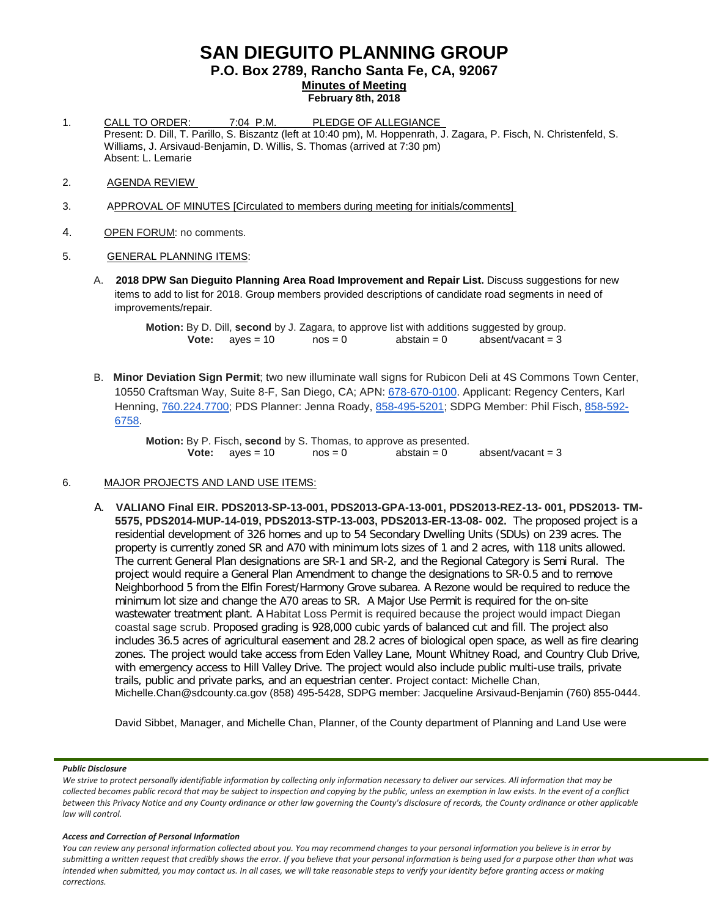# **SAN DIEGUITO PLANNING GROUP**

**P.O. Box 2789, Rancho Santa Fe, CA, 92067**

**Minutes of Meeting**

- **February 8th, 2018**
- 1. CALL TO ORDER: 7:04 P.M. PLEDGE OF ALLEGIANCE Present: D. Dill, T. Parillo, S. Biszantz (left at 10:40 pm), M. Hoppenrath, J. Zagara, P. Fisch, N. Christenfeld, S. Williams, J. Arsivaud-Benjamin, D. Willis, S. Thomas (arrived at 7:30 pm) Absent: L. Lemarie
- 2. AGENDA REVIEW
- 3. APPROVAL OF MINUTES [Circulated to members during meeting for initials/comments]
- 4. OPEN FORUM: no comments.

# 5. GENERAL PLANNING ITEMS:

A. **2018 DPW San Dieguito Planning Area Road Improvement and Repair List.** Discuss suggestions for new items to add to list for 2018. Group members provided descriptions of candidate road segments in need of improvements/repair.

> **Motion:** By D. Dill, **second** by J. Zagara, to approve list with additions suggested by group.<br> **Vote:** ayes = 10 nos = 0 abstain = 0 absent/vacant = 3 **Vote:**  $ayes = 10$

B. **Minor Deviation Sign Permit**; two new illuminate wall signs for Rubicon Deli at 4S Commons Town Center, 10550 Craftsman Way, Suite 8-F, San Diego, CA; APN: [678-670-0100.](tel:(678)%20670-0100) Applicant: Regency Centers, Karl Henning, [760.224.7700;](tel:(760)%20224-7700) PDS Planner: Jenna Roady, [858-495-5201;](tel:(858)%20495-5201) SDPG Member: Phil Fisch, [858-592-](tel:(858)%20592-6758) [6758.](tel:(858)%20592-6758)

**Motion:** By P. Fisch, **second** by S. Thomas, to approve as presented.<br>**Vote:** aves = 10 nos = 0 abstain = 0 **Vote:**  $ayes = 10$   $nos = 0$   $abstain = 0$   $absent/vacant = 3$ 

# 6. MAJOR PROJECTS AND LAND USE ITEMS:

A. **VALIANO Final EIR. PDS2013-SP-13-001, PDS2013-GPA-13-001, PDS2013-REZ-13- 001, PDS2013- TM-5575, PDS2014-MUP-14-019, PDS2013-STP-13-003, PDS2013-ER-13-08- 002.** The proposed project is a residential development of 326 homes and up to 54 Secondary Dwelling Units (SDUs) on 239 acres. The property is currently zoned SR and A70 with minimum lots sizes of 1 and 2 acres, with 118 units allowed. The current General Plan designations are SR-1 and SR-2, and the Regional Category is Semi Rural. The project would require a General Plan Amendment to change the designations to SR-0.5 and to remove Neighborhood 5 from the Elfin Forest/Harmony Grove subarea. A Rezone would be required to reduce the minimum lot size and change the A70 areas to SR. A Major Use Permit is required for the on-site wastewater treatment plant. A Habitat Loss Permit is required because the project would impact Diegan coastal sage scrub. Proposed grading is 928,000 cubic yards of balanced cut and fill. The project also includes 36.5 acres of agricultural easement and 28.2 acres of biological open space, as well as fire clearing zones. The project would take access from Eden Valley Lane, Mount Whitney Road, and Country Club Drive, with emergency access to Hill Valley Drive. The project would also include public multi-use trails, private trails, public and private parks, and an equestrian center. Project contact: Michelle Chan, [Michelle.Chan@sdcounty.ca.gov](mailto:Michelle.Chan@sdcounty.ca.gov) (858) 495-5428, SDPG member: Jacqueline Arsivaud-Benjamin (760) 855-0444.

David Sibbet, Manager, and Michelle Chan, Planner, of the County department of Planning and Land Use were

# *Public Disclosure*

#### *Access and Correction of Personal Information*

*We strive to protect personally identifiable information by collecting only information necessary to deliver our services. All information that may be collected becomes public record that may be subject to inspection and copying by the public, unless an exemption in law exists. In the event of a conflict between this Privacy Notice and any County ordinance or other law governing the County's disclosure of records, the County ordinance or other applicable law will control.*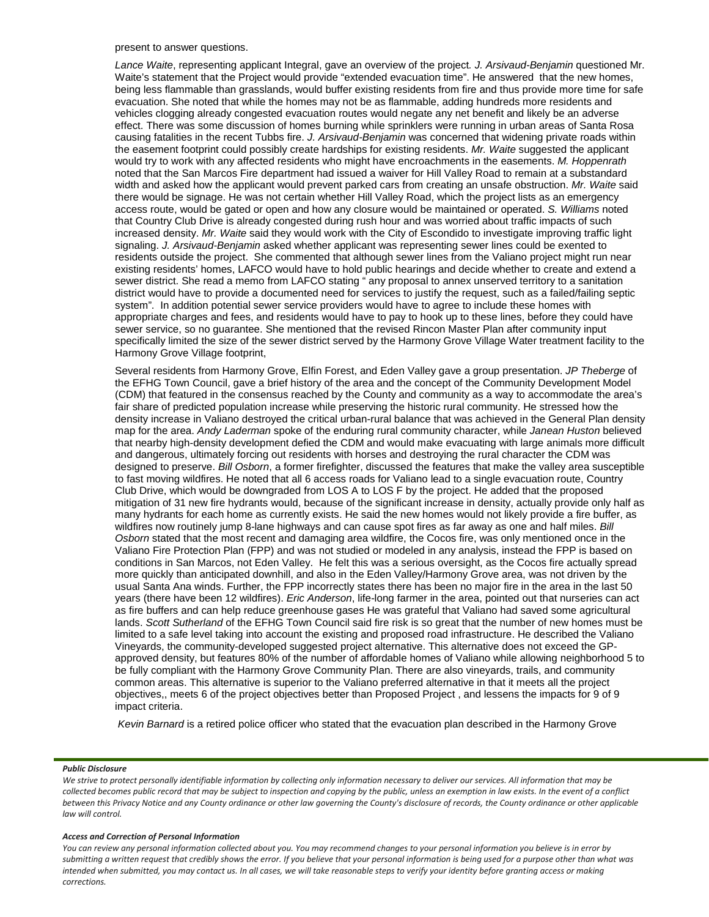#### present to answer questions.

*Lance Waite*, representing applicant Integral, gave an overview of the project*. J. Arsivaud-Benjamin* questioned Mr. Waite's statement that the Project would provide "extended evacuation time". He answered that the new homes, being less flammable than grasslands, would buffer existing residents from fire and thus provide more time for safe evacuation. She noted that while the homes may not be as flammable, adding hundreds more residents and vehicles clogging already congested evacuation routes would negate any net benefit and likely be an adverse effect. There was some discussion of homes burning while sprinklers were running in urban areas of Santa Rosa causing fatalities in the recent Tubbs fire. *J. Arsivaud-Benjamin* was concerned that widening private roads within the easement footprint could possibly create hardships for existing residents. *Mr. Waite* suggested the applicant would try to work with any affected residents who might have encroachments in the easements. *M. Hoppenrath* noted that the San Marcos Fire department had issued a waiver for Hill Valley Road to remain at a substandard width and asked how the applicant would prevent parked cars from creating an unsafe obstruction. *Mr. Waite* said there would be signage. He was not certain whether Hill Valley Road, which the project lists as an emergency access route, would be gated or open and how any closure would be maintained or operated. *S. Williams* noted that Country Club Drive is already congested during rush hour and was worried about traffic impacts of such increased density. *Mr. Waite* said they would work with the City of Escondido to investigate improving traffic light signaling. *J. Arsivaud-Benjamin* asked whether applicant was representing sewer lines could be exented to residents outside the project. She commented that although sewer lines from the Valiano project might run near existing residents' homes, LAFCO would have to hold public hearings and decide whether to create and extend a sewer district. She read a memo from LAFCO stating " any proposal to annex unserved territory to a sanitation district would have to provide a documented need for services to justify the request, such as a failed/failing septic system". In addition potential sewer service providers would have to agree to include these homes with appropriate charges and fees, and residents would have to pay to hook up to these lines, before they could have sewer service, so no guarantee. She mentioned that the revised Rincon Master Plan after community input specifically limited the size of the sewer district served by the Harmony Grove Village Water treatment facility to the Harmony Grove Village footprint,

Several residents from Harmony Grove, Elfin Forest, and Eden Valley gave a group presentation. *JP Theberge* of the EFHG Town Council, gave a brief history of the area and the concept of the Community Development Model (CDM) that featured in the consensus reached by the County and community as a way to accommodate the area's fair share of predicted population increase while preserving the historic rural community. He stressed how the density increase in Valiano destroyed the critical urban-rural balance that was achieved in the General Plan density map for the area. *Andy Laderman* spoke of the enduring rural community character, while *Janean Huston* believed that nearby high-density development defied the CDM and would make evacuating with large animals more difficult and dangerous, ultimately forcing out residents with horses and destroying the rural character the CDM was designed to preserve. *Bill Osborn*, a former firefighter, discussed the features that make the valley area susceptible to fast moving wildfires. He noted that all 6 access roads for Valiano lead to a single evacuation route, Country Club Drive, which would be downgraded from LOS A to LOS F by the project. He added that the proposed mitigation of 31 new fire hydrants would, because of the significant increase in density, actually provide only half as many hydrants for each home as currently exists. He said the new homes would not likely provide a fire buffer, as wildfires now routinely jump 8-lane highways and can cause spot fires as far away as one and half miles. *Bill Osborn* stated that the most recent and damaging area wildfire, the Cocos fire, was only mentioned once in the Valiano Fire Protection Plan (FPP) and was not studied or modeled in any analysis, instead the FPP is based on conditions in San Marcos, not Eden Valley. He felt this was a serious oversight, as the Cocos fire actually spread more quickly than anticipated downhill, and also in the Eden Valley/Harmony Grove area, was not driven by the usual Santa Ana winds. Further, the FPP incorrectly states there has been no major fire in the area in the last 50 years (there have been 12 wildfires). *Eric Anderson*, life-long farmer in the area, pointed out that nurseries can act as fire buffers and can help reduce greenhouse gases He was grateful that Valiano had saved some agricultural lands. *Scott Sutherland* of the EFHG Town Council said fire risk is so great that the number of new homes must be limited to a safe level taking into account the existing and proposed road infrastructure. He described the Valiano Vineyards, the community-developed suggested project alternative. This alternative does not exceed the GPapproved density, but features 80% of the number of affordable homes of Valiano while allowing neighborhood 5 to be fully compliant with the Harmony Grove Community Plan. There are also vineyards, trails, and community common areas. This alternative is superior to the Valiano preferred alternative in that it meets all the project objectives,, meets 6 of the project objectives better than Proposed Project , and lessens the impacts for 9 of 9 impact criteria.

*Kevin Barnard* is a retired police officer who stated that the evacuation plan described in the Harmony Grove

#### *Public Disclosure*

*We strive to protect personally identifiable information by collecting only information necessary to deliver our services. All information that may be collected becomes public record that may be subject to inspection and copying by the public, unless an exemption in law exists. In the event of a conflict between this Privacy Notice and any County ordinance or other law governing the County's disclosure of records, the County ordinance or other applicable law will control.*

#### *Access and Correction of Personal Information*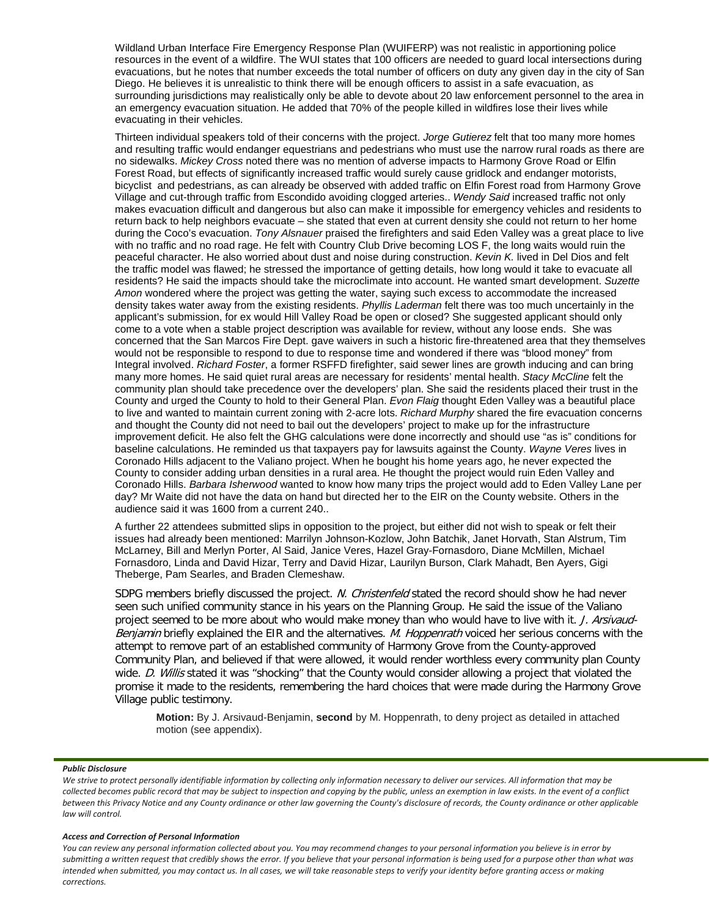Wildland Urban Interface Fire Emergency Response Plan (WUIFERP) was not realistic in apportioning police resources in the event of a wildfire. The WUI states that 100 officers are needed to guard local intersections during evacuations, but he notes that number exceeds the total number of officers on duty any given day in the city of San Diego. He believes it is unrealistic to think there will be enough officers to assist in a safe evacuation, as surrounding jurisdictions may realistically only be able to devote about 20 law enforcement personnel to the area in an emergency evacuation situation. He added that 70% of the people killed in wildfires lose their lives while evacuating in their vehicles.

Thirteen individual speakers told of their concerns with the project. *Jorge Gutierez* felt that too many more homes and resulting traffic would endanger equestrians and pedestrians who must use the narrow rural roads as there are no sidewalks. *Mickey Cross* noted there was no mention of adverse impacts to Harmony Grove Road or Elfin Forest Road, but effects of significantly increased traffic would surely cause gridlock and endanger motorists, bicyclist and pedestrians, as can already be observed with added traffic on Elfin Forest road from Harmony Grove Village and cut-through traffic from Escondido avoiding clogged arteries.. *Wendy Said* increased traffic not only makes evacuation difficult and dangerous but also can make it impossible for emergency vehicles and residents to return back to help neighbors evacuate – she stated that even at current density she could not return to her home during the Coco's evacuation. *Tony Alsnauer* praised the firefighters and said Eden Valley was a great place to live with no traffic and no road rage. He felt with Country Club Drive becoming LOS F, the long waits would ruin the peaceful character. He also worried about dust and noise during construction. *Kevin K.* lived in Del Dios and felt the traffic model was flawed; he stressed the importance of getting details, how long would it take to evacuate all residents? He said the impacts should take the microclimate into account. He wanted smart development. *Suzette Amon* wondered where the project was getting the water, saying such excess to accommodate the increased density takes water away from the existing residents. *Phyllis Laderman* felt there was too much uncertainly in the applicant's submission, for ex would Hill Valley Road be open or closed? She suggested applicant should only come to a vote when a stable project description was available for review, without any loose ends. She was concerned that the San Marcos Fire Dept. gave waivers in such a historic fire-threatened area that they themselves would not be responsible to respond to due to response time and wondered if there was "blood money" from Integral involved. *Richard Foster*, a former RSFFD firefighter, said sewer lines are growth inducing and can bring many more homes. He said quiet rural areas are necessary for residents' mental health. *Stacy McCline* felt the community plan should take precedence over the developers' plan. She said the residents placed their trust in the County and urged the County to hold to their General Plan. *Evon Flaig* thought Eden Valley was a beautiful place to live and wanted to maintain current zoning with 2-acre lots. *Richard Murphy* shared the fire evacuation concerns and thought the County did not need to bail out the developers' project to make up for the infrastructure improvement deficit. He also felt the GHG calculations were done incorrectly and should use "as is" conditions for baseline calculations. He reminded us that taxpayers pay for lawsuits against the County. *Wayne Veres* lives in Coronado Hills adjacent to the Valiano project. When he bought his home years ago, he never expected the County to consider adding urban densities in a rural area. He thought the project would ruin Eden Valley and Coronado Hills. *Barbara Isherwood* wanted to know how many trips the project would add to Eden Valley Lane per day? Mr Waite did not have the data on hand but directed her to the EIR on the County website. Others in the audience said it was 1600 from a current 240..

A further 22 attendees submitted slips in opposition to the project, but either did not wish to speak or felt their issues had already been mentioned: Marrilyn Johnson-Kozlow, John Batchik, Janet Horvath, Stan Alstrum, Tim McLarney, Bill and Merlyn Porter, Al Said, Janice Veres, Hazel Gray-Fornasdoro, Diane McMillen, Michael Fornasdoro, Linda and David Hizar, Terry and David Hizar, Laurilyn Burson, Clark Mahadt, Ben Ayers, Gigi Theberge, Pam Searles, and Braden Clemeshaw.

SDPG members briefly discussed the project. N. Christenfeld stated the record should show he had never seen such unified community stance in his years on the Planning Group. He said the issue of the Valiano project seemed to be more about who would make money than who would have to live with it. J. Arsivaud-Benjamin briefly explained the EIR and the alternatives. M. Hoppenrath voiced her serious concerns with the attempt to remove part of an established community of Harmony Grove from the County-approved Community Plan, and believed if that were allowed, it would render worthless every community plan County wide. D. Willis stated it was "shocking" that the County would consider allowing a project that violated the promise it made to the residents, remembering the hard choices that were made during the Harmony Grove Village public testimony.

**Motion:** By J. Arsivaud-Benjamin, **second** by M. Hoppenrath, to deny project as detailed in attached motion (see appendix).

#### *Public Disclosure*

### *Access and Correction of Personal Information*

*We strive to protect personally identifiable information by collecting only information necessary to deliver our services. All information that may be collected becomes public record that may be subject to inspection and copying by the public, unless an exemption in law exists. In the event of a conflict between this Privacy Notice and any County ordinance or other law governing the County's disclosure of records, the County ordinance or other applicable law will control.*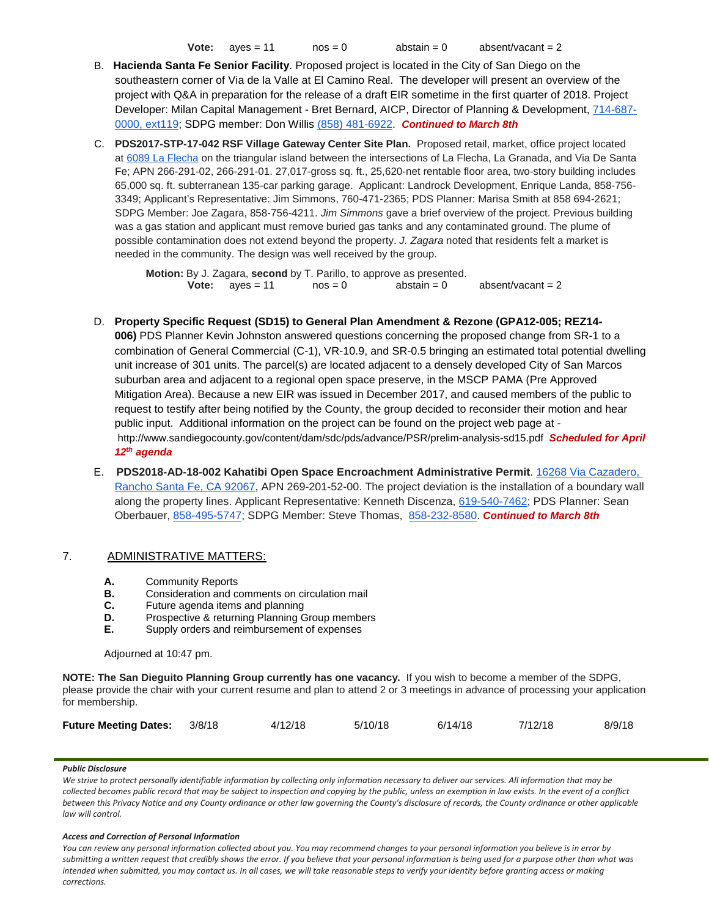**Vote:**  $ayes = 11$   $nos = 0$   $abstant = 0$   $absent/vacant = 2$ 

- B. **Hacienda Santa Fe Senior Facility**. Proposed project is located in the City of San Diego on the southeastern corner of Via de la Valle at El Camino Real. The developer will present an overview of the project with Q&A in preparation for the release of a draft EIR sometime in the first quarter of 2018. Project Developer: Milan Capital Management - Bret Bernard, AICP, Director of Planning & Development, [714-687-](tel:(714)%20687-0000) [0000, ext119;](tel:(714)%20687-0000) SDPG member: Don Willis [\(858\) 481-6922.](tel:(858)%20481-6922) *Continued to March 8th*
- C. **PDS2017-STP-17-042 RSF Village Gateway Center Site Plan.** Proposed retail, market, office project located at [6089 La Flecha](https://maps.google.com/?q=6089+La+Flecha&entry=gmail&source=g) on the triangular island between the intersections of La Flecha, La Granada, and Via De Santa Fe; APN 266-291-02, 266-291-01. 27,017-gross sq. ft., 25,620-net rentable floor area, two-story building includes 65,000 sq. ft. subterranean 135-car parking garage. Applicant: Landrock Development, Enrique Landa, 858-756- 3349; Applicant's Representative: Jim Simmons, 760-471-2365; PDS Planner: Marisa Smith at 858 694-2621; SDPG Member: Joe Zagara, 858-756-4211. *Jim Simmons* gave a brief overview of the project. Previous building was a gas station and applicant must remove buried gas tanks and any contaminated ground. The plume of possible contamination does not extend beyond the property. *J. Zagara* noted that residents felt a market is needed in the community. The design was well received by the group.

**Motion:** By J. Zagara, **second** by T. Parillo, to approve as presented. **Vote:**  $ayes = 11$   $nos = 0$   $abstain = 0$   $absent/vacant = 2$ 

D. **Property Specific Request (SD15) to General Plan Amendment & Rezone (GPA12-005; REZ14-**

**006)** PDS Planner Kevin Johnston answered questions concerning the proposed change from SR-1 to a combination of General Commercial (C-1), VR-10.9, and SR-0.5 bringing an estimated total potential dwelling unit increase of 301 units. The parcel(s) are located adjacent to a densely developed City of San Marcos suburban area and adjacent to a regional open space preserve, in the MSCP PAMA (Pre Approved Mitigation Area). Because a new EIR was issued in December 2017, and caused members of the public to request to testify after being notified by the County, the group decided to reconsider their motion and hear public input. Additional information on the project can be found on the project web page at <http://www.sandiegocounty.gov/content/dam/sdc/pds/advance/PSR/prelim-analysis-sd15.pdf>*Scheduled for April 12th agenda* 

E. **PDS2018-AD-18-002 Kahatibi Open Space Encroachment Administrative Permit**. [16268 Via Cazadero,](https://maps.google.com/?q=16268+Via+Cazadero,+Rancho+Santa+Fe,+CA+92067&entry=gmail&source=g)  [Rancho Santa Fe, CA 92067,](https://maps.google.com/?q=16268+Via+Cazadero,+Rancho+Santa+Fe,+CA+92067&entry=gmail&source=g) APN 269-201-52-00. The project deviation is the installation of a boundary wall along the property lines. Applicant Representative: Kenneth Discenza, [619-540-7462;](tel:(619)%20540-7462) PDS Planner: Sean Oberbauer, [858-495-5747;](tel:(858)%20495-5747) SDPG Member: Steve Thomas, [858-232-8580.](tel:(858)%20232-8580) *Continued to March 8th* 

# 7. ADMINISTRATIVE MATTERS:

- **A.** Community Reports<br>**B.** Consideration and com-
- **B.** Consideration and comments on circulation mail<br>**C.** Future agenda items and planning
- Future agenda items and planning
- **D.** Prospective & returning Planning Group members<br>**E.** Supply orders and reimbursement of expenses
- **E.** Supply orders and reimbursement of expenses

# Adjourned at 10:47 pm.

**NOTE: The San Dieguito Planning Group currently has one vacancy.** If you wish to become a member of the SDPG, please provide the chair with your current resume and plan to attend 2 or 3 meetings in advance of processing your application for membership.

| Future Meeting Dates: 3/8/18 |  | 4/12/18 | 5/10/18 | 6/14/18 | 7/12/18 | 8/9/18 |
|------------------------------|--|---------|---------|---------|---------|--------|
|------------------------------|--|---------|---------|---------|---------|--------|

# *Public Disclosure*

*We strive to protect personally identifiable information by collecting only information necessary to deliver our services. All information that may be collected becomes public record that may be subject to inspection and copying by the public, unless an exemption in law exists. In the event of a conflict between this Privacy Notice and any County ordinance or other law governing the County's disclosure of records, the County ordinance or other applicable law will control.*

#### *Access and Correction of Personal Information*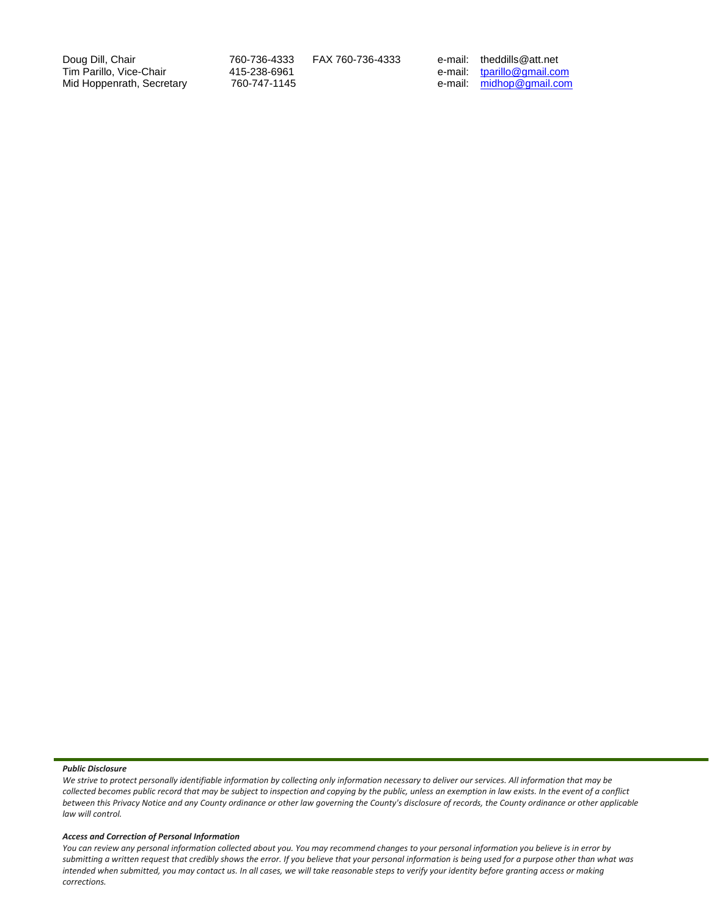Doug Dill, Chair 760-736-4333 FAX 760-736-4333 e-mail: theddills@att.net Tim Parillo, Vice-Chair 415-238-6961 e-mail: [tparillo@gmail.com](mailto:tparillo@gmail.com) Mid Hoppenrath, Secretary 760-747-1145 e-mail: [midhop@gmail.com](mailto:midhop@gmail.com)

#### *Public Disclosure*

*We strive to protect personally identifiable information by collecting only information necessary to deliver our services. All information that may be collected becomes public record that may be subject to inspection and copying by the public, unless an exemption in law exists. In the event of a conflict between this Privacy Notice and any County ordinance or other law governing the County's disclosure of records, the County ordinance or other applicable law will control.*

#### *Access and Correction of Personal Information*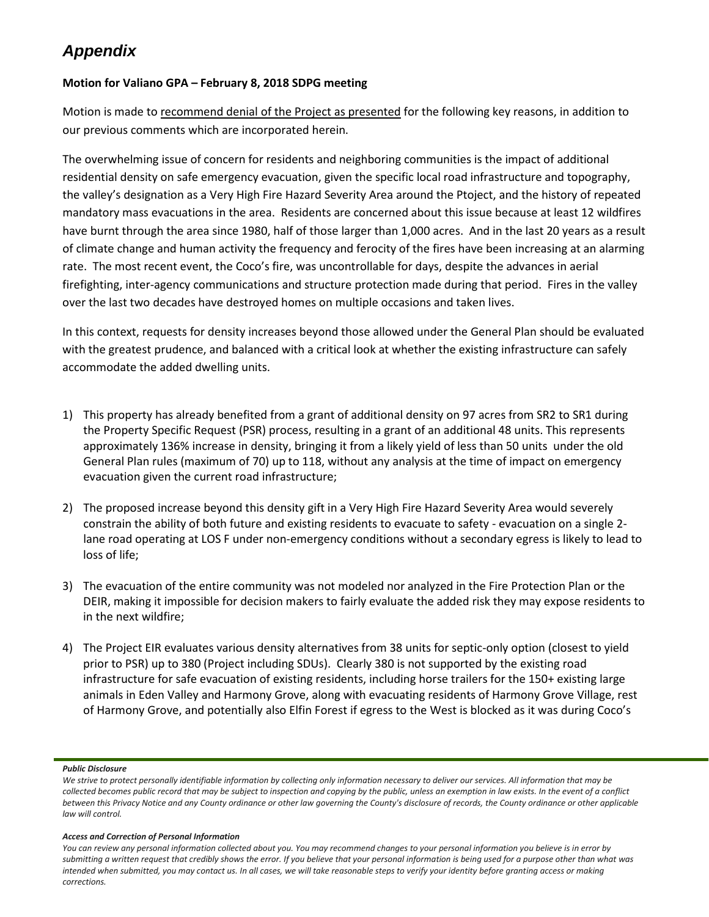# *Appendix*

# **Motion for Valiano GPA – February 8, 2018 SDPG meeting**

Motion is made to recommend denial of the Project as presented for the following key reasons, in addition to our previous comments which are incorporated herein.

The overwhelming issue of concern for residents and neighboring communities is the impact of additional residential density on safe emergency evacuation, given the specific local road infrastructure and topography, the valley's designation as a Very High Fire Hazard Severity Area around the Ptoject, and the history of repeated mandatory mass evacuations in the area. Residents are concerned about this issue because at least 12 wildfires have burnt through the area since 1980, half of those larger than 1,000 acres. And in the last 20 years as a result of climate change and human activity the frequency and ferocity of the fires have been increasing at an alarming rate. The most recent event, the Coco's fire, was uncontrollable for days, despite the advances in aerial firefighting, inter-agency communications and structure protection made during that period. Fires in the valley over the last two decades have destroyed homes on multiple occasions and taken lives.

In this context, requests for density increases beyond those allowed under the General Plan should be evaluated with the greatest prudence, and balanced with a critical look at whether the existing infrastructure can safely accommodate the added dwelling units.

- 1) This property has already benefited from a grant of additional density on 97 acres from SR2 to SR1 during the Property Specific Request (PSR) process, resulting in a grant of an additional 48 units. This represents approximately 136% increase in density, bringing it from a likely yield of less than 50 units under the old General Plan rules (maximum of 70) up to 118, without any analysis at the time of impact on emergency evacuation given the current road infrastructure;
- 2) The proposed increase beyond this density gift in a Very High Fire Hazard Severity Area would severely constrain the ability of both future and existing residents to evacuate to safety - evacuation on a single 2 lane road operating at LOS F under non-emergency conditions without a secondary egress is likely to lead to loss of life;
- 3) The evacuation of the entire community was not modeled nor analyzed in the Fire Protection Plan or the DEIR, making it impossible for decision makers to fairly evaluate the added risk they may expose residents to in the next wildfire;
- 4) The Project EIR evaluates various density alternatives from 38 units for septic-only option (closest to yield prior to PSR) up to 380 (Project including SDUs). Clearly 380 is not supported by the existing road infrastructure for safe evacuation of existing residents, including horse trailers for the 150+ existing large animals in Eden Valley and Harmony Grove, along with evacuating residents of Harmony Grove Village, rest of Harmony Grove, and potentially also Elfin Forest if egress to the West is blocked as it was during Coco's

# *Public Disclosure*

# *Access and Correction of Personal Information*

*We strive to protect personally identifiable information by collecting only information necessary to deliver our services. All information that may be collected becomes public record that may be subject to inspection and copying by the public, unless an exemption in law exists. In the event of a conflict between this Privacy Notice and any County ordinance or other law governing the County's disclosure of records, the County ordinance or other applicable law will control.*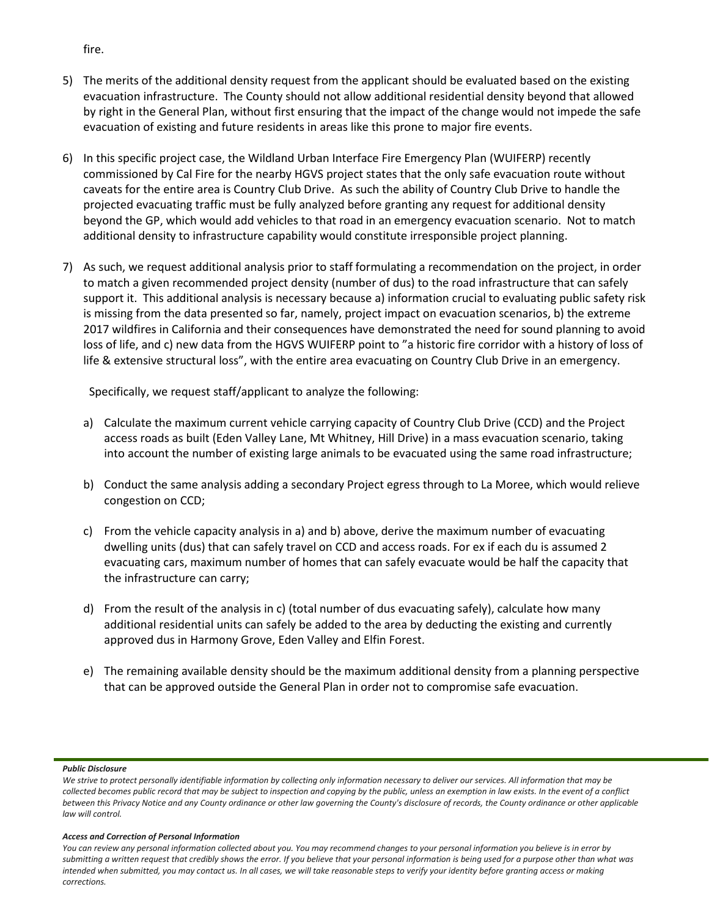- 5) The merits of the additional density request from the applicant should be evaluated based on the existing evacuation infrastructure. The County should not allow additional residential density beyond that allowed by right in the General Plan, without first ensuring that the impact of the change would not impede the safe evacuation of existing and future residents in areas like this prone to major fire events.
- 6) In this specific project case, the Wildland Urban Interface Fire Emergency Plan (WUIFERP) recently commissioned by Cal Fire for the nearby HGVS project states that the only safe evacuation route without caveats for the entire area is Country Club Drive. As such the ability of Country Club Drive to handle the projected evacuating traffic must be fully analyzed before granting any request for additional density beyond the GP, which would add vehicles to that road in an emergency evacuation scenario. Not to match additional density to infrastructure capability would constitute irresponsible project planning.
- 7) As such, we request additional analysis prior to staff formulating a recommendation on the project, in order to match a given recommended project density (number of dus) to the road infrastructure that can safely support it. This additional analysis is necessary because a) information crucial to evaluating public safety risk is missing from the data presented so far, namely, project impact on evacuation scenarios, b) the extreme 2017 wildfires in California and their consequences have demonstrated the need for sound planning to avoid loss of life, and c) new data from the HGVS WUIFERP point to "a historic fire corridor with a history of loss of life & extensive structural loss", with the entire area evacuating on Country Club Drive in an emergency.

Specifically, we request staff/applicant to analyze the following:

- a) Calculate the maximum current vehicle carrying capacity of Country Club Drive (CCD) and the Project access roads as built (Eden Valley Lane, Mt Whitney, Hill Drive) in a mass evacuation scenario, taking into account the number of existing large animals to be evacuated using the same road infrastructure;
- b) Conduct the same analysis adding a secondary Project egress through to La Moree, which would relieve congestion on CCD;
- c) From the vehicle capacity analysis in a) and b) above, derive the maximum number of evacuating dwelling units (dus) that can safely travel on CCD and access roads. For ex if each du is assumed 2 evacuating cars, maximum number of homes that can safely evacuate would be half the capacity that the infrastructure can carry;
- d) From the result of the analysis in c) (total number of dus evacuating safely), calculate how many additional residential units can safely be added to the area by deducting the existing and currently approved dus in Harmony Grove, Eden Valley and Elfin Forest.
- e) The remaining available density should be the maximum additional density from a planning perspective that can be approved outside the General Plan in order not to compromise safe evacuation.

#### *Public Disclosure*

#### *Access and Correction of Personal Information*

*You can review any personal information collected about you. You may recommend changes to your personal information you believe is in error by submitting a written request that credibly shows the error. If you believe that your personal information is being used for a purpose other than what was intended when submitted, you may contact us. In all cases, we will take reasonable steps to verify your identity before granting access or making corrections.*

fire.

*We strive to protect personally identifiable information by collecting only information necessary to deliver our services. All information that may be collected becomes public record that may be subject to inspection and copying by the public, unless an exemption in law exists. In the event of a conflict between this Privacy Notice and any County ordinance or other law governing the County's disclosure of records, the County ordinance or other applicable law will control.*